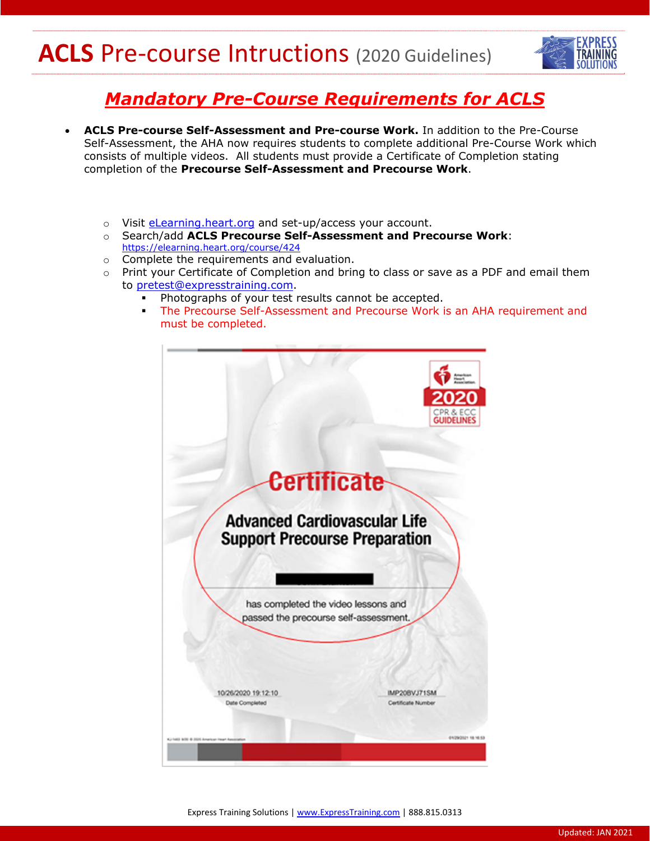## **ACLS** Pre-course Intructions (2020 Guidelines)



## *Mandatory Pre-Course Requirements for ACLS*

- **ACLS Pre-course Self-Assessment and Pre-course Work.** In addition to the Pre-Course Self-Assessment, the AHA now requires students to complete additional Pre-Course Work which consists of multiple videos. All students must provide a Certificate of Completion stating completion of the **Precourse Self-Assessment and Precourse Work**.
	- o Visit *eLearning.heart.org* and set-up/access your account.
	- o Search/add **ACLS Precourse Self-Assessment and Precourse Work**: https://elearning.heart.org/course/424
	- o Complete the requirements and evaluation.
	- $\circ$  Print your Certificate of Completion and bring to class or save as a PDF and email them to pretest@expresstraining.com.
		- Photographs of your test results cannot be accepted.
		- The Precourse Self-Assessment and Precourse Work is an AHA requirement and must be completed.